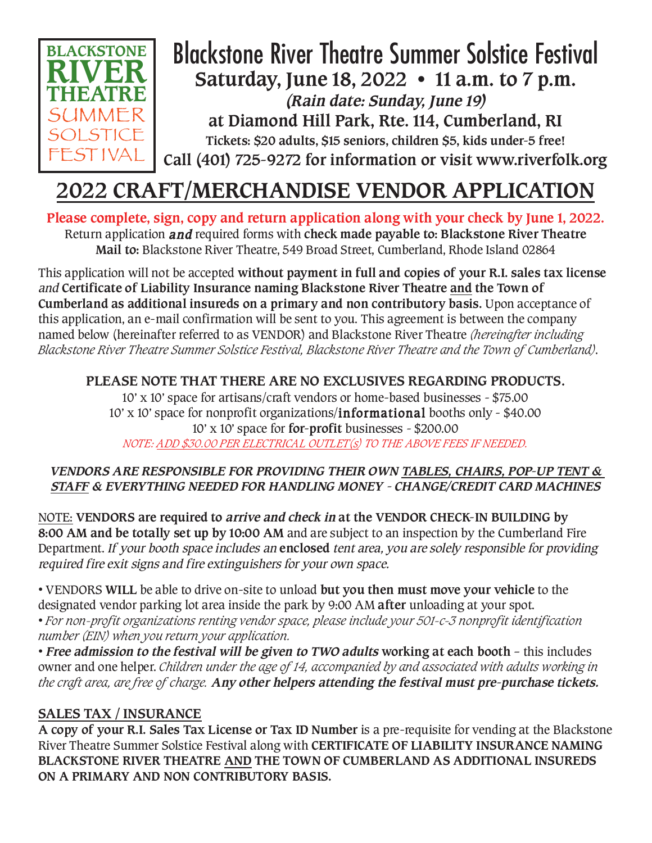

## Blackstone River Theatre Summer Solstice Festival **Saturday, June 18, 2022 • 11 a.m. to 7 p.m. (Rain date: Sunday, June 19) at Diamond Hill Park, Rte. 114, Cumberland, RI Tickets: \$20 adults, \$15 seniors, children \$5, kids under-5 free! Call (401) 725-9272 for information or visit www.riverfolk.org**

# **2022 CRAFT/MERCHANDISE VENDOR APPLICATION**

**Please complete, sign, copy and return application along with your check by June 1, 2022.**  Return application and required forms with **check made payable to: Blackstone River Theatre Mail to:** Blackstone River Theatre, 549 Broad Street, Cumberland, Rhode Island 02864

This application will not be accepted **without payment in full and copies of your R.I. sales tax license** and **Certificate of Liability Insurance naming Blackstone River Theatre and the Town of Cumberland as additional insureds on a primary and non contributory basis.** Upon acceptance of this application, an e-mail confirmation will be sent to you. This agreement is between the company named below (hereinafter referred to as VENDOR) and Blackstone River Theatre *(hereinafter including Blackstone River Theatre Summer Solstice Festival, Blackstone River Theatre and the Town of Cumberland)*.

## **PLEASE NOTE THAT THERE ARE NO EXCLUSIVES REGARDING PRODUCTS.**

10' x 10' space for artisans/craft vendors or home-based businesses - \$75.00 10' x 10' space for nonprofit organizations/informational booths only - \$40.00 10' x 10' space for **for-profit** businesses - \$200.00 *NOTE: ADD \$30.00 PER ELECTRICAL OUTLET(s) TO THE ABOVE FEES IF NEEDED.* 

### **VENDORS ARE RESPONSIBLE FOR PROVIDING THEIR OWN TABLES, CHAIRS, POP-UP TENT & STAFF & EVERYTHING NEEDED FOR HANDLING MONEY - CHANGE/CREDIT CARD MACHINES**

NOTE: **VENDORS are required to arrive and check in at the VENDOR CHECK-IN BUILDING by 8:00 AM and be totally set up by 10:00 AM** and are subject to an inspection by the Cumberland Fire Department. If your booth space includes an **enclosed** tent area, you are solely responsible for providing required fire exit signs and fire extinguishers for your own space.

• VENDORS **WILL** be able to drive on-site to unload **but you then must move your vehicle** to the designated vendor parking lot area inside the park by 9:00 AM **after** unloading at your spot.

• *For non-profit organizations renting vendor space, please include your 501-c-3 nonprofit identification number (EIN) when you return your application.*

• **Free admission to the festival will be given to TWO adults working at each booth** – this includes owner and one helper. *Children under the age of 14, accompanied by and associated with adults working in the craft area, are free of charge.* **Any other helpers attending the festival must pre-purchase tickets.**

## **SALES TAX / INSURANCE**

**A copy of your R.I. Sales Tax License or Tax ID Number** is a pre-requisite for vending at the Blackstone River Theatre Summer Solstice Festival along with **CERTIFICATE OF LIABILITY INSURANCE NAMING BLACKSTONE RIVER THEATRE AND THE TOWN OF CUMBERLAND AS ADDITIONAL INSUREDS ON A PRIMARY AND NON CONTRIBUTORY BASIS.**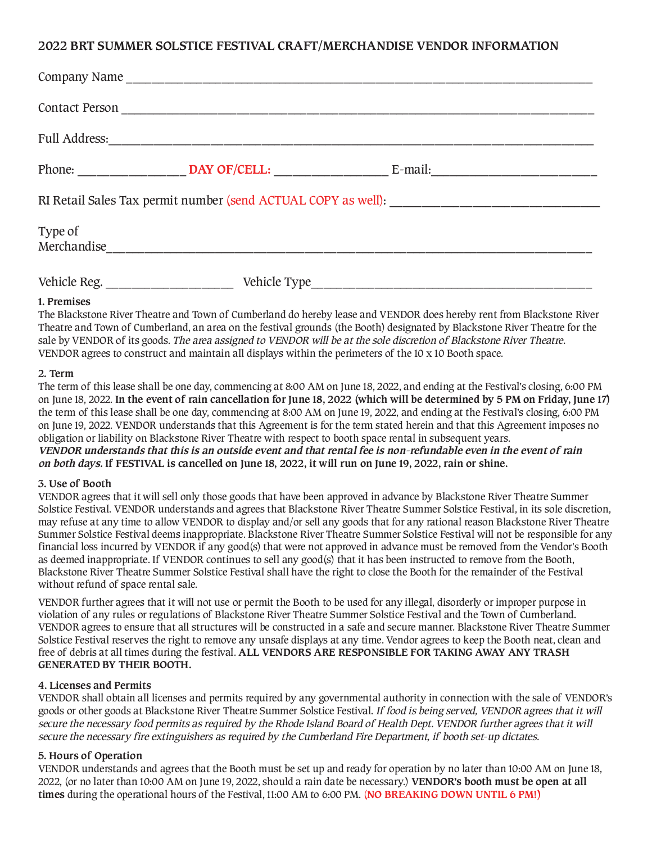#### **2022 BRT SUMMER SOLSTICE FESTIVAL CRAFT/MERCHANDISE VENDOR INFORMATION**

|             | Company Name |  |
|-------------|--------------|--|
|             |              |  |
|             |              |  |
|             |              |  |
|             |              |  |
| Type of     |              |  |
| 1. Premises |              |  |

The Blackstone River Theatre and Town of Cumberland do hereby lease and VENDOR does hereby rent from Blackstone River Theatre and Town of Cumberland, an area on the festival grounds (the Booth) designated by Blackstone River Theatre for the sale by VENDOR of its goods. The area assigned to VENDOR will be at the sole discretion of Blackstone River Theatre. VENDOR agrees to construct and maintain all displays within the perimeters of the 10 x 10 Booth space.

#### **2. Term**

The term of this lease shall be one day, commencing at 8:00 AM on June 18, 2022, and ending at the Festival's closing, 6:00 PM on June 18, 2022. **In the event of rain cancellation for June 18, 2022 (which will be determined by 5 PM on Friday, June 17)** the term of this lease shall be one day, commencing at 8:00 AM on June 19, 2022, and ending at the Festival's closing, 6:00 PM on June 19, 2022. VENDOR understands that this Agreement is for the term stated herein and that this Agreement imposes no obligation or liability on Blackstone River Theatre with respect to booth space rental in subsequent years. **VENDOR understands that this is an outside event and that rental fee is non-refundable even in the event of rain on both days. If FESTIVAL is cancelled on June 18, 2022, it will run on June 19, 2022, rain or shine.**

#### **3. Use of Booth**

VENDOR agrees that it will sell only those goods that have been approved in advance by Blackstone River Theatre Summer Solstice Festival. VENDOR understands and agrees that Blackstone River Theatre Summer Solstice Festival, in its sole discretion, may refuse at any time to allow VENDOR to display and/or sell any goods that for any rational reason Blackstone River Theatre Summer Solstice Festival deems inappropriate. Blackstone River Theatre Summer Solstice Festival will not be responsible for any financial loss incurred by VENDOR if any good(s) that were not approved in advance must be removed from the Vendor's Booth as deemed inappropriate. If VENDOR continues to sell any good(s) that it has been instructed to remove from the Booth, Blackstone River Theatre Summer Solstice Festival shall have the right to close the Booth for the remainder of the Festival without refund of space rental sale.

VENDOR further agrees that it will not use or permit the Booth to be used for any illegal, disorderly or improper purpose in violation of any rules or regulations of Blackstone River Theatre Summer Solstice Festival and the Town of Cumberland. VENDOR agrees to ensure that all structures will be constructed in a safe and secure manner. Blackstone River Theatre Summer Solstice Festival reserves the right to remove any unsafe displays at any time. Vendor agrees to keep the Booth neat, clean and free of debris at all times during the festival. **ALL VENDORS ARE RESPONSIBLE FOR TAKING AWAY ANY TRASH GENERATED BY THEIR BOOTH.**

#### **4. Licenses and Permits**

VENDOR shall obtain all licenses and permits required by any governmental authority in connection with the sale of VENDOR's goods or other goods at Blackstone River Theatre Summer Solstice Festival. If food is being served, VENDOR agrees that it will secure the necessary food permits as required by the Rhode Island Board of Health Dept. VENDOR further agrees that it will secure the necessary fire extinguishers as required by the Cumberland Fire Department, if booth set-up dictates.

#### **5. Hours of Operation**

VENDOR understands and agrees that the Booth must be set up and ready for operation by no later than 10:00 AM on June 18, 2022, (or no later than 10:00 AM on June 19, 2022, should a rain date be necessary.) **VENDOR's booth must be open at all times** during the operational hours of the Festival, 11:00 AM to 6:00 PM. (**NO BREAKING DOWN UNTIL 6 PM!)**